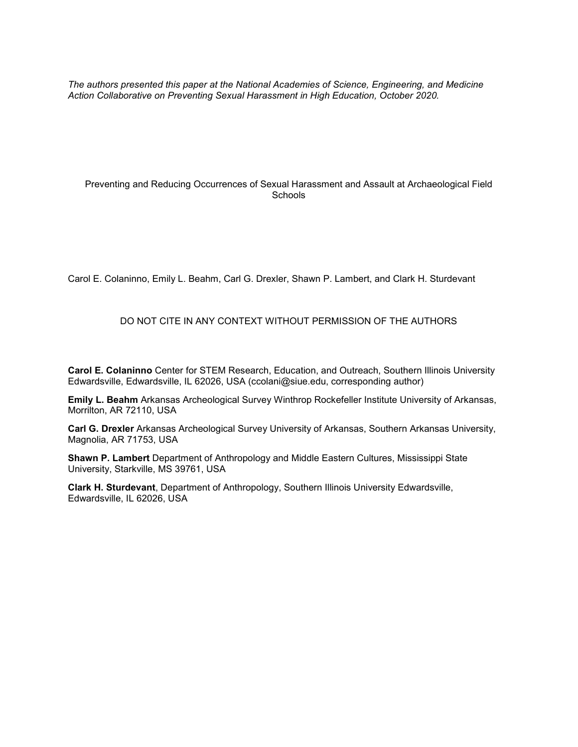*The authors presented this paper at the National Academies of Science, Engineering, and Medicine Action Collaborative on Preventing Sexual Harassment in High Education, October 2020.*

### Preventing and Reducing Occurrences of Sexual Harassment and Assault at Archaeological Field Schools

Carol E. Colaninno, Emily L. Beahm, Carl G. Drexler, Shawn P. Lambert, and Clark H. Sturdevant

### DO NOT CITE IN ANY CONTEXT WITHOUT PERMISSION OF THE AUTHORS

**Carol E. Colaninno** Center for STEM Research, Education, and Outreach, Southern Illinois University Edwardsville, Edwardsville, IL 62026, USA (ccolani@siue.edu, corresponding author)

**Emily L. Beahm** Arkansas Archeological Survey Winthrop Rockefeller Institute University of Arkansas, Morrilton, AR 72110, USA

**Carl G. Drexler** Arkansas Archeological Survey University of Arkansas, Southern Arkansas University, Magnolia, AR 71753, USA

**Shawn P. Lambert** Department of Anthropology and Middle Eastern Cultures, Mississippi State University, Starkville, MS 39761, USA

**Clark H. Sturdevant**, Department of Anthropology, Southern Illinois University Edwardsville, Edwardsville, IL 62026, USA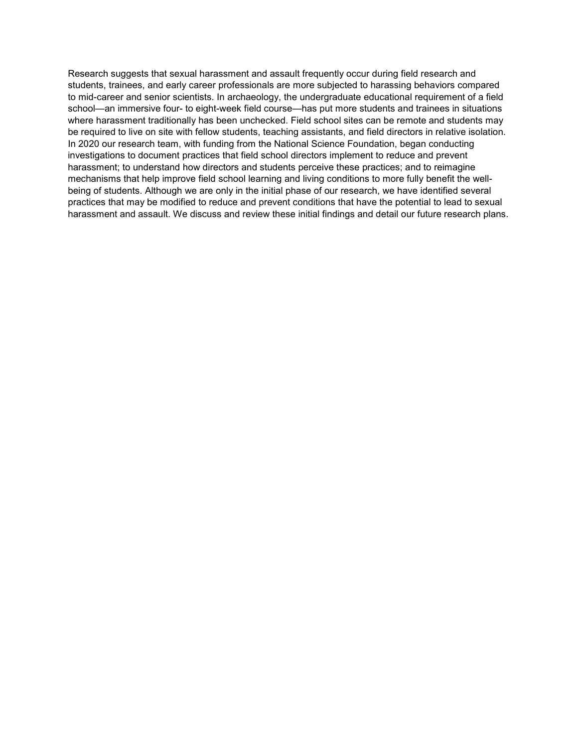Research suggests that sexual harassment and assault frequently occur during field research and students, trainees, and early career professionals are more subjected to harassing behaviors compared to mid-career and senior scientists. In archaeology, the undergraduate educational requirement of a field school—an immersive four- to eight-week field course—has put more students and trainees in situations where harassment traditionally has been unchecked. Field school sites can be remote and students may be required to live on site with fellow students, teaching assistants, and field directors in relative isolation. In 2020 our research team, with funding from the National Science Foundation, began conducting investigations to document practices that field school directors implement to reduce and prevent harassment; to understand how directors and students perceive these practices; and to reimagine mechanisms that help improve field school learning and living conditions to more fully benefit the wellbeing of students. Although we are only in the initial phase of our research, we have identified several practices that may be modified to reduce and prevent conditions that have the potential to lead to sexual harassment and assault. We discuss and review these initial findings and detail our future research plans.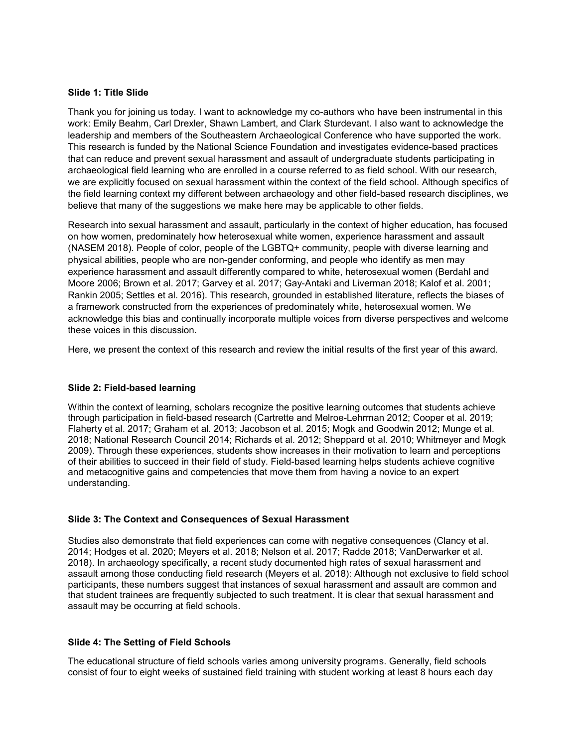### **Slide 1: Title Slide**

Thank you for joining us today. I want to acknowledge my co-authors who have been instrumental in this work: Emily Beahm, Carl Drexler, Shawn Lambert, and Clark Sturdevant. I also want to acknowledge the leadership and members of the Southeastern Archaeological Conference who have supported the work. This research is funded by the National Science Foundation and investigates evidence-based practices that can reduce and prevent sexual harassment and assault of undergraduate students participating in archaeological field learning who are enrolled in a course referred to as field school. With our research, we are explicitly focused on sexual harassment within the context of the field school. Although specifics of the field learning context my different between archaeology and other field-based research disciplines, we believe that many of the suggestions we make here may be applicable to other fields.

Research into sexual harassment and assault, particularly in the context of higher education, has focused on how women, predominately how heterosexual white women, experience harassment and assault (NASEM 2018). People of color, people of the LGBTQ+ community, people with diverse learning and physical abilities, people who are non-gender conforming, and people who identify as men may experience harassment and assault differently compared to white, heterosexual women (Berdahl and Moore 2006; Brown et al. 2017; Garvey et al. 2017; Gay-Antaki and Liverman 2018; Kalof et al. 2001; Rankin 2005; Settles et al. 2016). This research, grounded in established literature, reflects the biases of a framework constructed from the experiences of predominately white, heterosexual women. We acknowledge this bias and continually incorporate multiple voices from diverse perspectives and welcome these voices in this discussion.

Here, we present the context of this research and review the initial results of the first year of this award.

### **Slide 2: Field-based learning**

Within the context of learning, scholars recognize the positive learning outcomes that students achieve through participation in field-based research (Cartrette and Melroe-Lehrman 2012; Cooper et al. 2019; Flaherty et al. 2017; Graham et al. 2013; Jacobson et al. 2015; Mogk and Goodwin 2012; Munge et al. 2018; National Research Council 2014; Richards et al. 2012; Sheppard et al. 2010; Whitmeyer and Mogk 2009). Through these experiences, students show increases in their motivation to learn and perceptions of their abilities to succeed in their field of study. Field-based learning helps students achieve cognitive and metacognitive gains and competencies that move them from having a novice to an expert understanding.

### **Slide 3: The Context and Consequences of Sexual Harassment**

Studies also demonstrate that field experiences can come with negative consequences (Clancy et al. 2014; Hodges et al. 2020; Meyers et al. 2018; Nelson et al. 2017; Radde 2018; VanDerwarker et al. 2018). In archaeology specifically, a recent study documented high rates of sexual harassment and assault among those conducting field research (Meyers et al. 2018): Although not exclusive to field school participants, these numbers suggest that instances of sexual harassment and assault are common and that student trainees are frequently subjected to such treatment. It is clear that sexual harassment and assault may be occurring at field schools.

### **Slide 4: The Setting of Field Schools**

The educational structure of field schools varies among university programs. Generally, field schools consist of four to eight weeks of sustained field training with student working at least 8 hours each day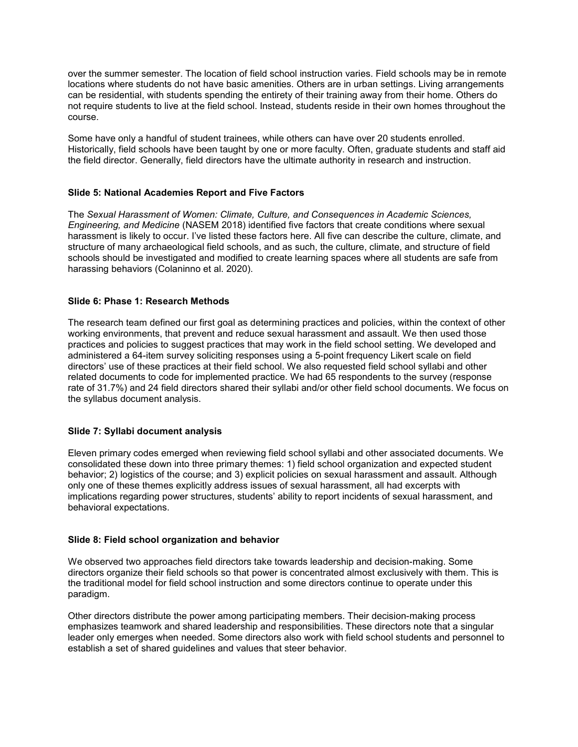over the summer semester. The location of field school instruction varies. Field schools may be in remote locations where students do not have basic amenities. Others are in urban settings. Living arrangements can be residential, with students spending the entirety of their training away from their home. Others do not require students to live at the field school. Instead, students reside in their own homes throughout the course.

Some have only a handful of student trainees, while others can have over 20 students enrolled. Historically, field schools have been taught by one or more faculty. Often, graduate students and staff aid the field director. Generally, field directors have the ultimate authority in research and instruction.

# **Slide 5: National Academies Report and Five Factors**

The *Sexual Harassment of Women: Climate, Culture, and Consequences in Academic Sciences, Engineering, and Medicine* (NASEM 2018) identified five factors that create conditions where sexual harassment is likely to occur. I've listed these factors here. All five can describe the culture, climate, and structure of many archaeological field schools, and as such, the culture, climate, and structure of field schools should be investigated and modified to create learning spaces where all students are safe from harassing behaviors (Colaninno et al. 2020).

### **Slide 6: Phase 1: Research Methods**

The research team defined our first goal as determining practices and policies, within the context of other working environments, that prevent and reduce sexual harassment and assault. We then used those practices and policies to suggest practices that may work in the field school setting. We developed and administered a 64-item survey soliciting responses using a 5-point frequency Likert scale on field directors' use of these practices at their field school. We also requested field school syllabi and other related documents to code for implemented practice. We had 65 respondents to the survey (response rate of 31.7%) and 24 field directors shared their syllabi and/or other field school documents. We focus on the syllabus document analysis.

### **Slide 7: Syllabi document analysis**

Eleven primary codes emerged when reviewing field school syllabi and other associated documents. We consolidated these down into three primary themes: 1) field school organization and expected student behavior; 2) logistics of the course; and 3) explicit policies on sexual harassment and assault. Although only one of these themes explicitly address issues of sexual harassment, all had excerpts with implications regarding power structures, students' ability to report incidents of sexual harassment, and behavioral expectations.

### **Slide 8: Field school organization and behavior**

We observed two approaches field directors take towards leadership and decision-making. Some directors organize their field schools so that power is concentrated almost exclusively with them. This is the traditional model for field school instruction and some directors continue to operate under this paradigm.

Other directors distribute the power among participating members. Their decision-making process emphasizes teamwork and shared leadership and responsibilities. These directors note that a singular leader only emerges when needed. Some directors also work with field school students and personnel to establish a set of shared guidelines and values that steer behavior.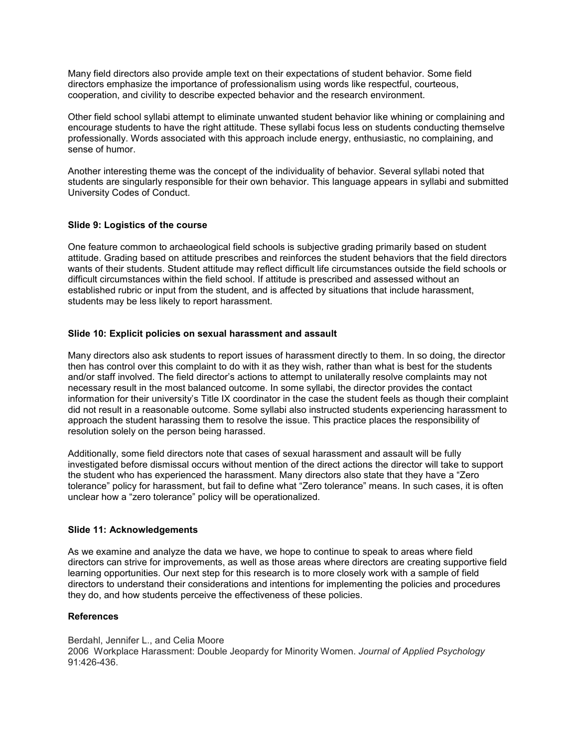Many field directors also provide ample text on their expectations of student behavior. Some field directors emphasize the importance of professionalism using words like respectful, courteous, cooperation, and civility to describe expected behavior and the research environment.

Other field school syllabi attempt to eliminate unwanted student behavior like whining or complaining and encourage students to have the right attitude. These syllabi focus less on students conducting themselve professionally. Words associated with this approach include energy, enthusiastic, no complaining, and sense of humor.

Another interesting theme was the concept of the individuality of behavior. Several syllabi noted that students are singularly responsible for their own behavior. This language appears in syllabi and submitted University Codes of Conduct.

### **Slide 9: Logistics of the course**

One feature common to archaeological field schools is subjective grading primarily based on student attitude. Grading based on attitude prescribes and reinforces the student behaviors that the field directors wants of their students. Student attitude may reflect difficult life circumstances outside the field schools or difficult circumstances within the field school. If attitude is prescribed and assessed without an established rubric or input from the student, and is affected by situations that include harassment, students may be less likely to report harassment.

# **Slide 10: Explicit policies on sexual harassment and assault**

Many directors also ask students to report issues of harassment directly to them. In so doing, the director then has control over this complaint to do with it as they wish, rather than what is best for the students and/or staff involved. The field director's actions to attempt to unilaterally resolve complaints may not necessary result in the most balanced outcome. In some syllabi, the director provides the contact information for their university's Title IX coordinator in the case the student feels as though their complaint did not result in a reasonable outcome. Some syllabi also instructed students experiencing harassment to approach the student harassing them to resolve the issue. This practice places the responsibility of resolution solely on the person being harassed.

Additionally, some field directors note that cases of sexual harassment and assault will be fully investigated before dismissal occurs without mention of the direct actions the director will take to support the student who has experienced the harassment. Many directors also state that they have a "Zero tolerance" policy for harassment, but fail to define what "Zero tolerance" means. In such cases, it is often unclear how a "zero tolerance" policy will be operationalized.

### **Slide 11: Acknowledgements**

As we examine and analyze the data we have, we hope to continue to speak to areas where field directors can strive for improvements, as well as those areas where directors are creating supportive field learning opportunities. Our next step for this research is to more closely work with a sample of field directors to understand their considerations and intentions for implementing the policies and procedures they do, and how students perceive the effectiveness of these policies.

### **References**

Berdahl, Jennifer L., and Celia Moore 2006 Workplace Harassment: Double Jeopardy for Minority Women. *Journal of Applied Psychology* 91:426-436.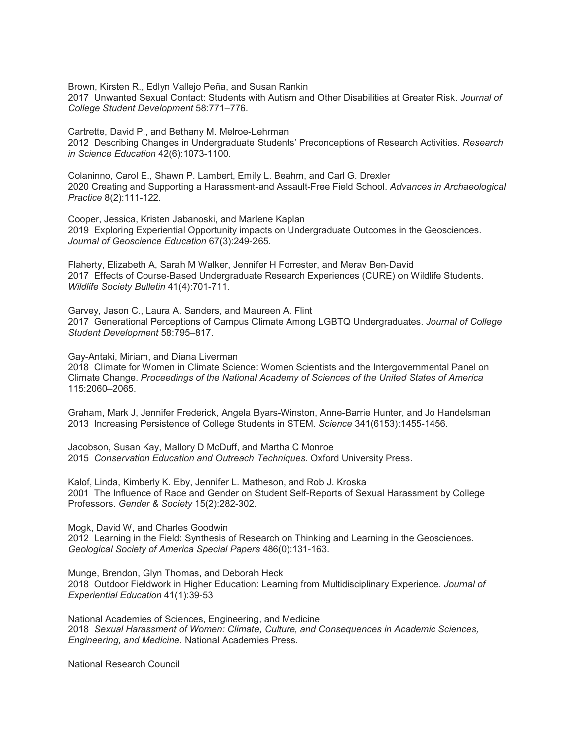Brown, Kirsten R., Edlyn Vallejo Peña, and Susan Rankin 2017 Unwanted Sexual Contact: Students with Autism and Other Disabilities at Greater Risk. *Journal of College Student Development* 58:771–776.

Cartrette, David P., and Bethany M. Melroe-Lehrman 2012 Describing Changes in Undergraduate Students' Preconceptions of Research Activities. *Research in Science Education* 42(6):1073-1100.

Colaninno, Carol E., Shawn P. Lambert, Emily L. Beahm, and Carl G. Drexler 2020 Creating and Supporting a Harassment-and Assault-Free Field School. *Advances in Archaeological Practice* 8(2):111-122.

Cooper, Jessica, Kristen Jabanoski, and Marlene Kaplan 2019 Exploring Experiential Opportunity impacts on Undergraduate Outcomes in the Geosciences. *Journal of Geoscience Education* 67(3):249-265.

Flaherty, Elizabeth A, Sarah M Walker, Jennifer H Forrester, and Merav Ben‐David 2017 Effects of Course‐Based Undergraduate Research Experiences (CURE) on Wildlife Students. *Wildlife Society Bulletin* 41(4):701-711.

Garvey, Jason C., Laura A. Sanders, and Maureen A. Flint 2017 Generational Perceptions of Campus Climate Among LGBTQ Undergraduates. *Journal of College Student Development* 58:795–817.

Gay-Antaki, Miriam, and Diana Liverman

2018 Climate for Women in Climate Science: Women Scientists and the Intergovernmental Panel on Climate Change. *Proceedings of the National Academy of Sciences of the United States of America*  115:2060–2065.

Graham, Mark J, Jennifer Frederick, Angela Byars-Winston, Anne-Barrie Hunter, and Jo Handelsman 2013 Increasing Persistence of College Students in STEM. *Science* 341(6153):1455-1456.

Jacobson, Susan Kay, Mallory D McDuff, and Martha C Monroe 2015 *Conservation Education and Outreach Techniques*. Oxford University Press.

Kalof, Linda, Kimberly K. Eby, Jennifer L. Matheson, and Rob J. Kroska 2001 The Influence of Race and Gender on Student Self-Reports of Sexual Harassment by College Professors. *Gender & Society* 15(2):282-302.

Mogk, David W, and Charles Goodwin 2012 Learning in the Field: Synthesis of Research on Thinking and Learning in the Geosciences. *Geological Society of America Special Papers* 486(0):131-163.

Munge, Brendon, Glyn Thomas, and Deborah Heck 2018 Outdoor Fieldwork in Higher Education: Learning from Multidisciplinary Experience. *Journal of Experiential Education* 41(1):39-53

National Academies of Sciences, Engineering, and Medicine 2018 *Sexual Harassment of Women: Climate, Culture, and Consequences in Academic Sciences, Engineering, and Medicine*. National Academies Press.

National Research Council